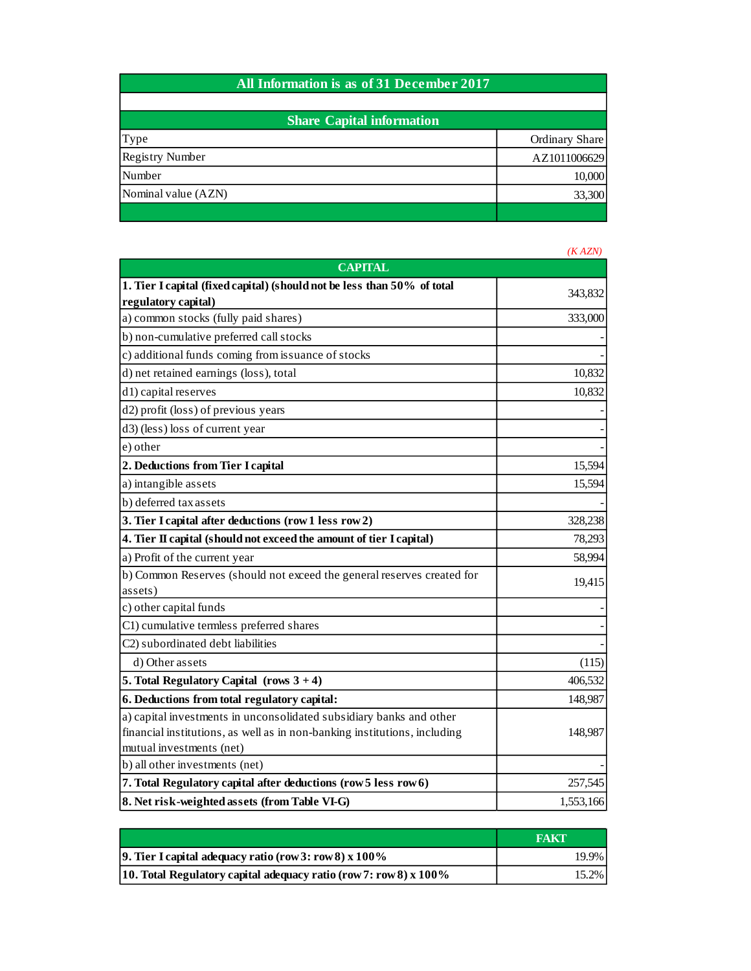## **All Information is as of 31 December 2017**

| <b>Share Capital information</b> |                |  |
|----------------------------------|----------------|--|
| Type                             | Ordinary Share |  |
| <b>Registry Number</b>           | AZ1011006629   |  |
| Number                           | 10,000         |  |
| Nominal value (AZN)              | 33,300         |  |
|                                  |                |  |

|                                                                                   | (KAZN)    |
|-----------------------------------------------------------------------------------|-----------|
| <b>CAPITAL</b>                                                                    |           |
| 1. Tier I capital (fixed capital) (should not be less than 50% of total           | 343,832   |
| regulatory capital)                                                               |           |
| a) common stocks (fully paid shares)                                              | 333,000   |
| b) non-cumulative preferred call stocks                                           |           |
| c) additional funds coming from issuance of stocks                                |           |
| d) net retained earnings (loss), total                                            | 10,832    |
| d1) capital reserves                                                              | 10,832    |
| d2) profit (loss) of previous years                                               |           |
| d3) (less) loss of current year                                                   |           |
| e) other                                                                          |           |
| 2. Deductions from Tier I capital                                                 | 15,594    |
| a) intangible assets                                                              | 15,594    |
| b) deferred tax assets                                                            |           |
| 3. Tier I capital after deductions (row 1 less row 2)                             | 328,238   |
| 4. Tier II capital (should not exceed the amount of tier I capital)               | 78,293    |
| a) Profit of the current year                                                     | 58,994    |
| b) Common Reserves (should not exceed the general reserves created for<br>assets) | 19,415    |
| c) other capital funds                                                            |           |
| C1) cumulative termless preferred shares                                          |           |
| C2) subordinated debt liabilities                                                 |           |
| d) Other assets                                                                   | (115)     |
| 5. Total Regulatory Capital (rows $3 + 4$ )                                       | 406,532   |
| 6. Deductions from total regulatory capital:                                      | 148,987   |
| a) capital investments in unconsolidated subsidiary banks and other               |           |
| financial institutions, as well as in non-banking institutions, including         | 148,987   |
| mutual investments (net)                                                          |           |
| b) all other investments (net)                                                    |           |
| 7. Total Regulatory capital after deductions (row 5 less row 6)                   | 257,545   |
| 8. Net risk-weighted assets (from Table VI-G)                                     | 1,553,166 |

|                                                                     | <b>FAKT</b> |
|---------------------------------------------------------------------|-------------|
| 9. Tier I capital adequacy ratio (row 3: row 8) $x$ 100%            | 19.9%       |
| 10. Total Regulatory capital adequacy ratio (row 7: row 8) $x$ 100% | 15.2%       |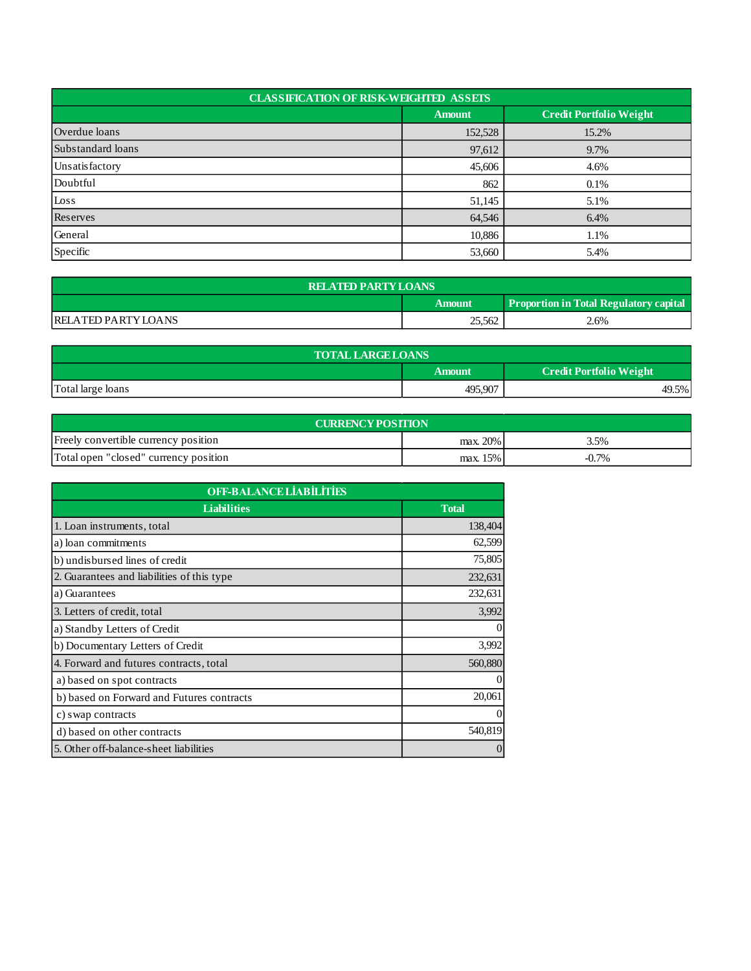| <b>CLASSIFICATION OF RISK-WEIGHTED ASSETS</b> |               |                                |  |  |
|-----------------------------------------------|---------------|--------------------------------|--|--|
|                                               | <b>Amount</b> | <b>Credit Portfolio Weight</b> |  |  |
| Overdue loans                                 | 152,528       | 15.2%                          |  |  |
| Substandard loans                             | 97,612        | 9.7%                           |  |  |
| Unsatisfactory                                | 45,606        | 4.6%                           |  |  |
| Doubtful                                      | 862           | 0.1%                           |  |  |
| Loss                                          | 51,145        | 5.1%                           |  |  |
| Reserves                                      | 64,546        | 6.4%                           |  |  |
| General                                       | 10,886        | 1.1%                           |  |  |
| Specific                                      | 53,660        | 5.4%                           |  |  |

| <b>RELATED PARTY LOANS</b>                                     |        |      |  |  |  |
|----------------------------------------------------------------|--------|------|--|--|--|
| <b>Proportion in Total Regulatory capital</b><br><b>Amount</b> |        |      |  |  |  |
| <b>RELATED PARTY LOANS</b>                                     | 25,562 | 2.6% |  |  |  |

| <b>TOTAL LARGE LOANS</b> |                                          |       |  |  |
|--------------------------|------------------------------------------|-------|--|--|
|                          | <b>Credit Portfolio Weight</b><br>Amount |       |  |  |
| Total large loans        | 495,907                                  | 49.5% |  |  |

| <b>CURRENCY POSITION</b>              |            |         |  |  |
|---------------------------------------|------------|---------|--|--|
| Freely convertible currency position  | max. 20%   | 3.5%    |  |  |
| Total open "closed" currency position | $max.15\%$ | $-0.7%$ |  |  |

| <b>OFF-BALANCE LIABILITIES</b>             |              |  |
|--------------------------------------------|--------------|--|
| <b>Liabilities</b>                         | <b>Total</b> |  |
| 1. Loan instruments, total                 | 138,404      |  |
| a) loan commitments                        | 62,599       |  |
| b) undisbursed lines of credit             | 75,805       |  |
| 2. Guarantees and liabilities of this type | 232,631      |  |
| a) Guarantees                              | 232,631      |  |
| 3. Letters of credit, total                | 3,992        |  |
| a) Standby Letters of Credit               | $\theta$     |  |
| b) Documentary Letters of Credit           | 3,992        |  |
| 4. Forward and futures contracts, total    | 560,880      |  |
| a) based on spot contracts                 | $\Omega$     |  |
| b) based on Forward and Futures contracts  | 20,061       |  |
| c) swap contracts                          | $\theta$     |  |
| d) based on other contracts                | 540,819      |  |
| 5. Other off-balance-sheet liabilities     | $\Omega$     |  |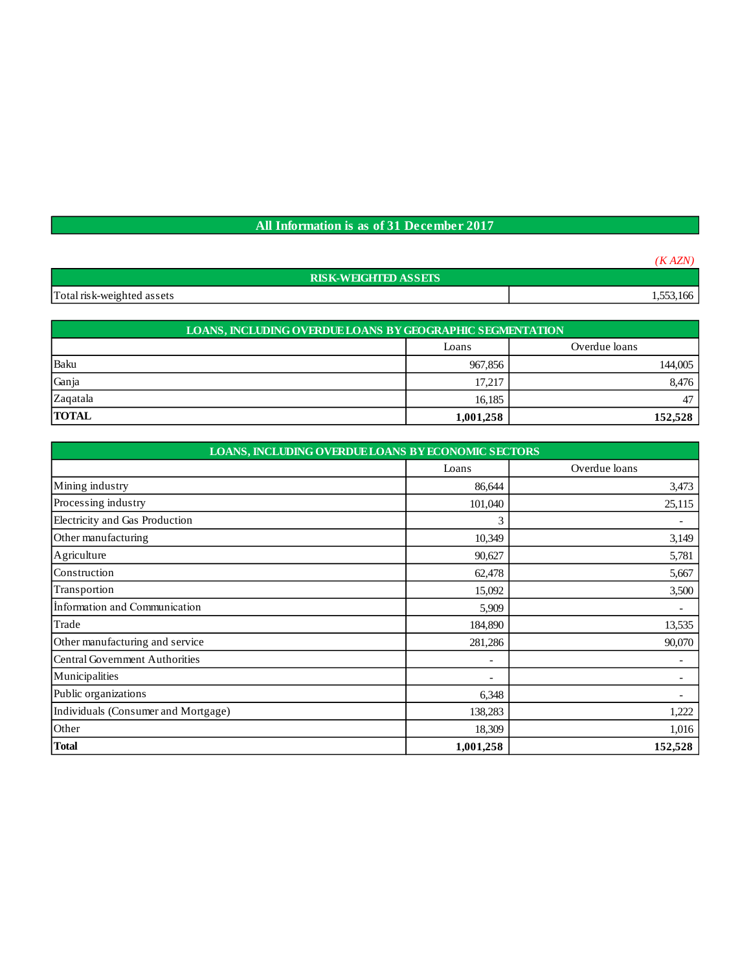## **All Information is as of 31 December 2017**

|                             | (KAZN)    |
|-----------------------------|-----------|
| <b>RISK-WEIGHTED ASSETS</b> |           |
| Total risk-weighted assets  | 1,553,166 |
|                             |           |

| <b>LOANS, INCLUDING OVERDUE LOANS BY GEOGRAPHIC SEGMENTATION</b> |                        |         |  |  |
|------------------------------------------------------------------|------------------------|---------|--|--|
|                                                                  | Overdue loans<br>Loans |         |  |  |
| Baku                                                             | 967,856                | 144,005 |  |  |
| Ganja                                                            | 17.217                 | 8,476   |  |  |
| Zaqatala                                                         | 16.185                 | 47      |  |  |
| <b>TOTAL</b>                                                     | 1,001,258              | 152.528 |  |  |

| LOANS, INCLUDING OVERDUE LOANS BY ECONOMIC SECTORS |                          |                          |  |  |
|----------------------------------------------------|--------------------------|--------------------------|--|--|
|                                                    | Loans                    | Overdue loans            |  |  |
| Mining industry                                    | 86,644                   | 3,473                    |  |  |
| Processing industry                                | 101,040                  | 25,115                   |  |  |
| Electricity and Gas Production                     | 3                        |                          |  |  |
| Other manufacturing                                | 10,349                   | 3,149                    |  |  |
| Agriculture                                        | 90,627                   | 5,781                    |  |  |
| Construction                                       | 62,478                   | 5,667                    |  |  |
| Transportion                                       | 15,092                   | 3,500                    |  |  |
| Information and Communication                      | 5,909                    |                          |  |  |
| Trade                                              | 184,890                  | 13,535                   |  |  |
| Other manufacturing and service                    | 281,286                  | 90,070                   |  |  |
| Central Government Authorities                     | -                        | $\overline{\phantom{a}}$ |  |  |
| Municipalities                                     | $\overline{\phantom{0}}$ |                          |  |  |
| Public organizations                               | 6,348                    |                          |  |  |
| Individuals (Consumer and Mortgage)                | 138,283                  | 1,222                    |  |  |
| Other                                              | 18,309                   | 1,016                    |  |  |
| <b>Total</b>                                       | 1,001,258                | 152,528                  |  |  |